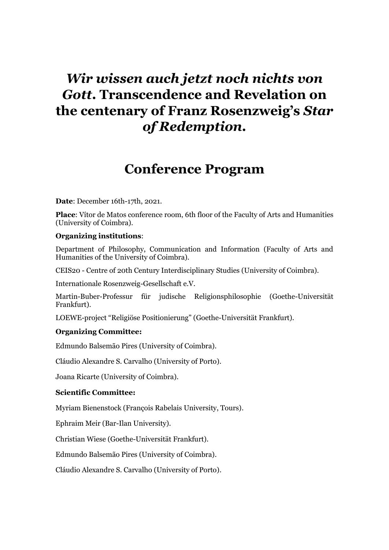# *Wir wissen auch jetzt noch nichts von Gott***. Transcendence and Revelation on the centenary of Franz Rosenzweig's** *Star of Redemption.*

# **Conference Program**

**Date**: December 16th-17th, 2021.

**Place**: Vítor de Matos conference room, 6th floor of the Faculty of Arts and Humanities (University of Coimbra).

#### **Organizing institutions**:

Department of Philosophy, Communication and Information (Faculty of Arts and Humanities of the University of Coimbra).

CEIS20 - Centre of 20th Century Interdisciplinary Studies (University of Coimbra).

Internationale Rosenzweig-Gesellschaft e.V.

Martin-Buber-Professur für judische Religionsphilosophie (Goethe-Universität Frankfurt).

LOEWE-project "Religiöse Positionierung" (Goethe-Universität Frankfurt).

#### **Organizing Committee:**

Edmundo Balsemão Pires (University of Coimbra).

Cláudio Alexandre S. Carvalho (University of Porto).

Joana Ricarte (University of Coimbra).

#### **Scientific Committee:**

Myriam Bienenstock (François Rabelais University, Tours).

Ephraim Meir (Bar-Ilan University).

Christian Wiese (Goethe-Universität Frankfurt).

Edmundo Balsemão Pires (University of Coimbra).

Cláudio Alexandre S. Carvalho (University of Porto).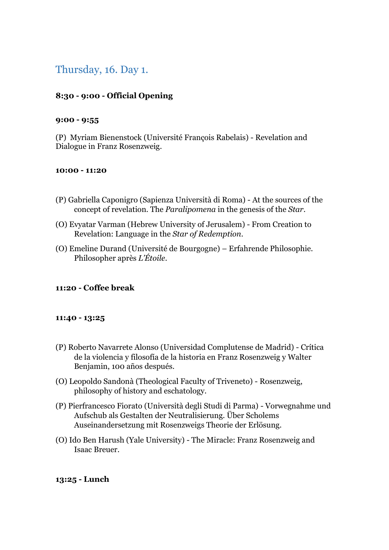# Thursday, 16. Day 1.

# **8:30 - 9:00 - Official Opening**

#### **9:00 - 9:55**

(P) Myriam Bienenstock (Université François Rabelais) - Revelation and Dialogue in Franz Rosenzweig.

#### **10:00 - 11:20**

- (P) Gabriella Caponigro (Sapienza Università di Roma) At the sources of the concept of revelation. The *Paralipomena* in the genesis of the *Star*.
- (O) Evyatar Varman (Hebrew University of Jerusalem) From Creation to Revelation: Language in the *Star of Redemption*.
- (O) Emeline Durand (Université de Bourgogne) Erfahrende Philosophie. Philosopher après *L'Étoile*.

## **11:20 - Coffee break**

#### **11:40 - 13:25**

- (P) Roberto Navarrete Alonso (Universidad Complutense de Madrid) Crítica de la violencia y filosofía de la historia en Franz Rosenzweig y Walter Benjamin, 100 años después.
- (O) Leopoldo Sandonà (Theological Faculty of Triveneto) Rosenzweig, philosophy of history and eschatology.
- (P) Pierfrancesco Fiorato (Università degli Studi di Parma) Vorwegnahme und Aufschub als Gestalten der Neutralisierung. Über Scholems Auseinandersetzung mit Rosenzweigs Theorie der Erlösung.
- (O) Ido Ben Harush (Yale University) The Miracle: Franz Rosenzweig and Isaac Breuer.

#### **13:25 - Lunch**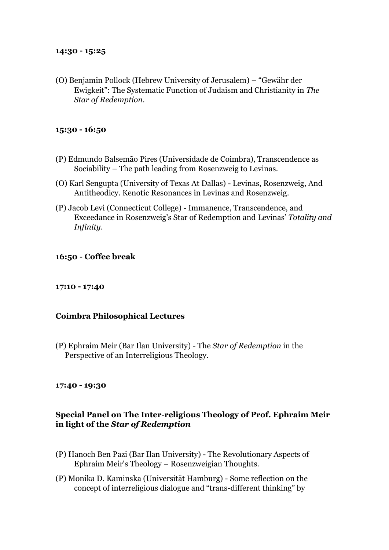#### **14:30 - 15:25**

(O) Benjamin Pollock (Hebrew University of Jerusalem) – "Gewähr der Ewigkeit": The Systematic Function of Judaism and Christianity in *The Star of Redemption*.

#### **15:30 - 16:50**

- (P) Edmundo Balsemão Pires (Universidade de Coimbra), Transcendence as Sociability – The path leading from Rosenzweig to Levinas.
- (O) Karl Sengupta (University of Texas At Dallas) Levinas, Rosenzweig, And Antitheodicy. Kenotic Resonances in Levinas and Rosenzweig.
- (P) Jacob Levi (Connecticut College) Immanence, Transcendence, and Exceedance in Rosenzweig's Star of Redemption and Levinas' *Totality and Infinity*.

#### **16:50 - Coffee break**

#### **17:10 - 17:40**

#### **Coimbra Philosophical Lectures**

(P) Ephraim Meir (Bar Ilan University) - The *Star of Redemption* in the Perspective of an Interreligious Theology.

#### **17:40 - 19:30**

### **Special Panel on The Inter-religious Theology of Prof. Ephraim Meir in light of the** *Star of Redemption*

- (P) Hanoch Ben Pazi (Bar Ilan University) The Revolutionary Aspects of Ephraim Meir's Theology – Rosenzweigian Thoughts.
- (P) Monika D. Kaminska (Universität Hamburg) Some reflection on the concept of interreligious dialogue and "trans-different thinking" by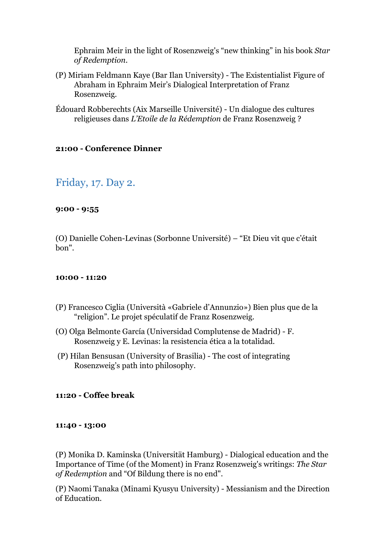Ephraim Meir in the light of Rosenzweig's "new thinking" in his book *Star of Redemption*.

- (P) Miriam Feldmann Kaye (Bar Ilan University) The Existentialist Figure of Abraham in Ephraim Meir's Dialogical Interpretation of Franz Rosenzweig.
- Édouard Robberechts (Aix Marseille Université) Un dialogue des cultures religieuses dans *L'Etoile de la Rédemption* de Franz Rosenzweig ?

### **21:00 - Conference Dinner**

# Friday, 17. Day 2.

### **9:00 - 9:55**

(O) Danielle Cohen-Levinas (Sorbonne Université) – "Et Dieu vit que c'était bon".

#### **10:00 - 11:20**

- (P) Francesco Ciglia (Università «Gabriele d'Annunzio») Bien plus que de la "religion". Le projet spéculatif de Franz Rosenzweig.
- (O) Olga Belmonte García (Universidad Complutense de Madrid) F. Rosenzweig y E. Levinas: la resistencia ética a la totalidad.
- (P) Hilan Bensusan (University of Brasilia) The cost of integrating Rosenzweig's path into philosophy.

#### **11:20 - Coffee break**

#### **11:40 - 13:00**

(P) Monika D. Kaminska (Universität Hamburg) - Dialogical education and the Importance of Time (of the Moment) in Franz Rosenzweig's writings: *The Star of Redemption* and "Of Bildung there is no end".

(P) Naomi Tanaka (Minami Kyusyu University) - Messianism and the Direction of Education.